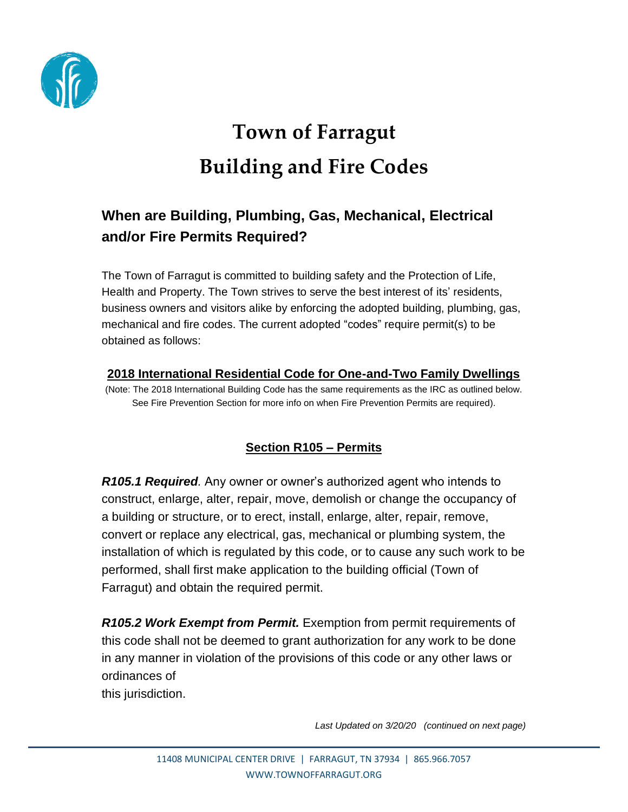

# **Town of Farragut Building and Fire Codes**

# **When are Building, Plumbing, Gas, Mechanical, Electrical and/or Fire Permits Required?**

The Town of Farragut is committed to building safety and the Protection of Life, Health and Property. The Town strives to serve the best interest of its' residents, business owners and visitors alike by enforcing the adopted building, plumbing, gas, mechanical and fire codes. The current adopted "codes" require permit(s) to be obtained as follows:

## **2018 International Residential Code for One-and-Two Family Dwellings**

(Note: The 2018 International Building Code has the same requirements as the IRC as outlined below. See Fire Prevention Section for more info on when Fire Prevention Permits are required).

## **Section R105 – Permits**

*R105.1 Required.* Any owner or owner's authorized agent who intends to construct, enlarge, alter, repair, move, demolish or change the occupancy of a building or structure, or to erect, install, enlarge, alter, repair, remove, convert or replace any electrical, gas, mechanical or plumbing system, the installation of which is regulated by this code, or to cause any such work to be performed, shall first make application to the building official (Town of Farragut) and obtain the required permit.

*R105.2 Work Exempt from Permit.* Exemption from permit requirements of this code shall not be deemed to grant authorization for any work to be done in any manner in violation of the provisions of this code or any other laws or ordinances of this jurisdiction.

*Last Updated on 3/20/20 (continued on next page)*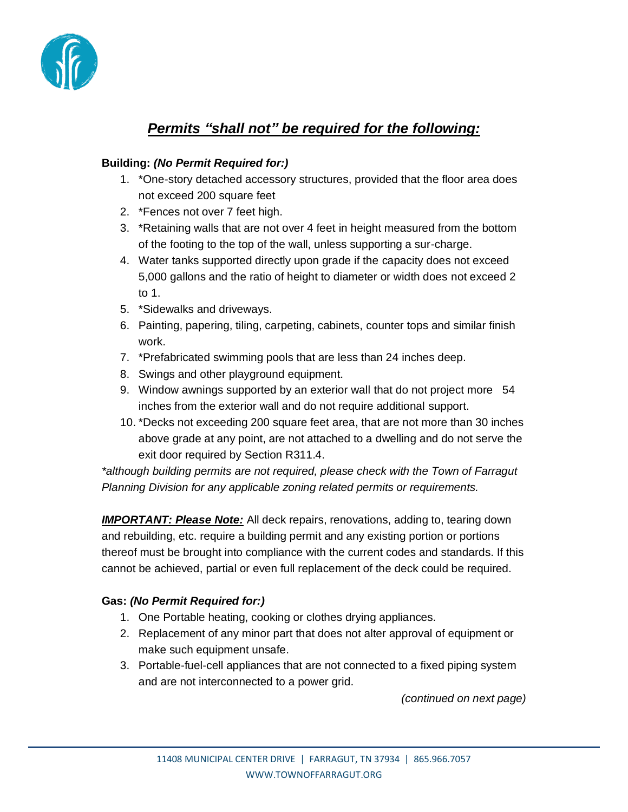

## *Permits "shall not" be required for the following:*

#### **Building:** *(No Permit Required for:)*

- 1. \*One-story detached accessory structures, provided that the floor area does not exceed 200 square feet
- 2. \*Fences not over 7 feet high.
- 3. \*Retaining walls that are not over 4 feet in height measured from the bottom of the footing to the top of the wall, unless supporting a sur-charge.
- 4. Water tanks supported directly upon grade if the capacity does not exceed 5,000 gallons and the ratio of height to diameter or width does not exceed 2 to 1.
- 5. \*Sidewalks and driveways.
- 6. Painting, papering, tiling, carpeting, cabinets, counter tops and similar finish work.
- 7. \*Prefabricated swimming pools that are less than 24 inches deep.
- 8. Swings and other playground equipment.
- 9. Window awnings supported by an exterior wall that do not project more 54 inches from the exterior wall and do not require additional support.
- 10. \*Decks not exceeding 200 square feet area, that are not more than 30 inches above grade at any point, are not attached to a dwelling and do not serve the exit door required by Section R311.4.

*\*although building permits are not required, please check with the Town of Farragut Planning Division for any applicable zoning related permits or requirements.*

*IMPORTANT: Please Note:* All deck repairs, renovations, adding to, tearing down and rebuilding, etc. require a building permit and any existing portion or portions thereof must be brought into compliance with the current codes and standards. If this cannot be achieved, partial or even full replacement of the deck could be required.

#### **Gas:** *(No Permit Required for:)*

- 1. One Portable heating, cooking or clothes drying appliances.
- 2. Replacement of any minor part that does not alter approval of equipment or make such equipment unsafe.
- 3. Portable-fuel-cell appliances that are not connected to a fixed piping system and are not interconnected to a power grid.

*(continued on next page)*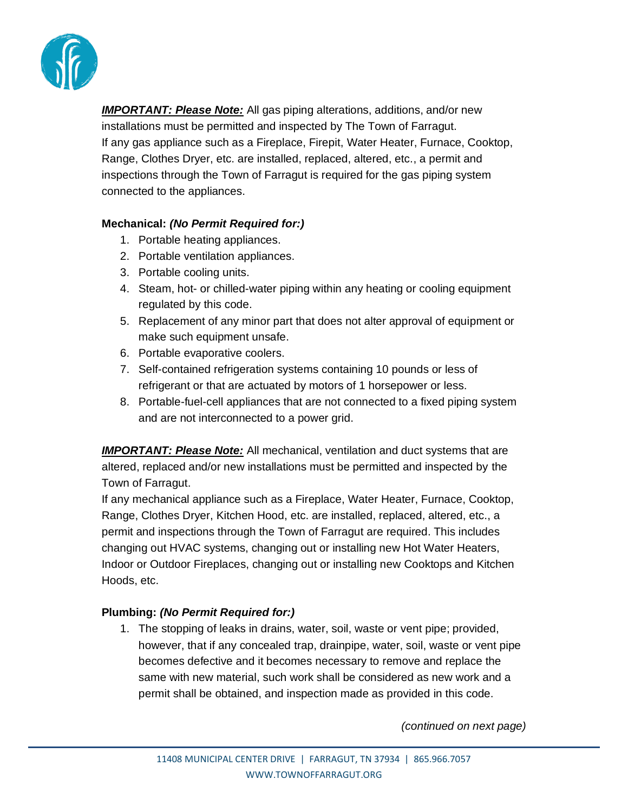

*IMPORTANT: Please Note:* All gas piping alterations, additions, and/or new installations must be permitted and inspected by The Town of Farragut. If any gas appliance such as a Fireplace, Firepit, Water Heater, Furnace, Cooktop, Range, Clothes Dryer, etc. are installed, replaced, altered, etc., a permit and inspections through the Town of Farragut is required for the gas piping system connected to the appliances.

#### **Mechanical:** *(No Permit Required for:)*

- 1. Portable heating appliances.
- 2. Portable ventilation appliances.
- 3. Portable cooling units.
- 4. Steam, hot- or chilled-water piping within any heating or cooling equipment regulated by this code.
- 5. Replacement of any minor part that does not alter approval of equipment or make such equipment unsafe.
- 6. Portable evaporative coolers.
- 7. Self-contained refrigeration systems containing 10 pounds or less of refrigerant or that are actuated by motors of 1 horsepower or less.
- 8. Portable-fuel-cell appliances that are not connected to a fixed piping system and are not interconnected to a power grid.

*IMPORTANT: Please Note:* All mechanical, ventilation and duct systems that are altered, replaced and/or new installations must be permitted and inspected by the Town of Farragut.

If any mechanical appliance such as a Fireplace, Water Heater, Furnace, Cooktop, Range, Clothes Dryer, Kitchen Hood, etc. are installed, replaced, altered, etc., a permit and inspections through the Town of Farragut are required. This includes changing out HVAC systems, changing out or installing new Hot Water Heaters, Indoor or Outdoor Fireplaces, changing out or installing new Cooktops and Kitchen Hoods, etc.

#### **Plumbing:** *(No Permit Required for:)*

1. The stopping of leaks in drains, water, soil, waste or vent pipe; provided, however, that if any concealed trap, drainpipe, water, soil, waste or vent pipe becomes defective and it becomes necessary to remove and replace the same with new material, such work shall be considered as new work and a permit shall be obtained, and inspection made as provided in this code.

*(continued on next page)*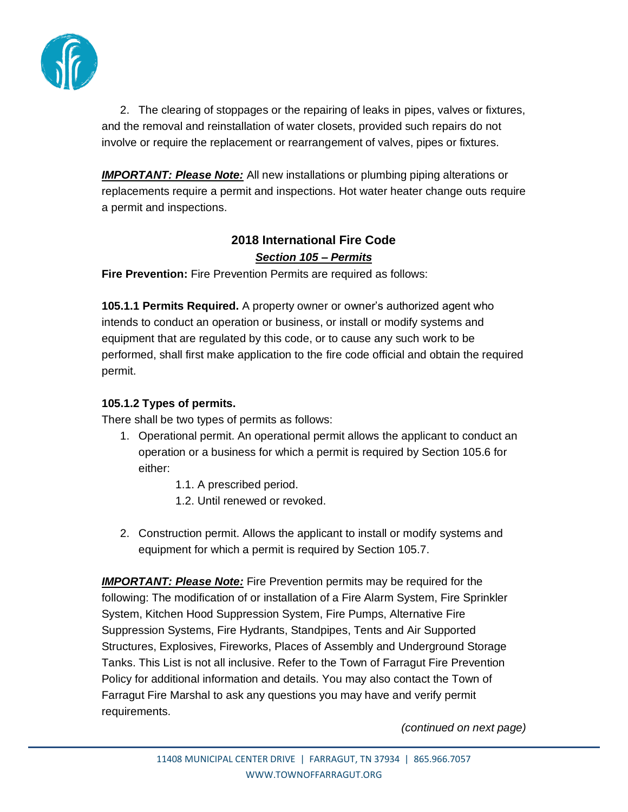

2. The clearing of stoppages or the repairing of leaks in pipes, valves or fixtures, and the removal and reinstallation of water closets, provided such repairs do not involve or require the replacement or rearrangement of valves, pipes or fixtures.

*IMPORTANT: Please Note:* All new installations or plumbing piping alterations or replacements require a permit and inspections. Hot water heater change outs require a permit and inspections.

## **2018 International Fire Code** *Section 105 – Permits*

**Fire Prevention:** Fire Prevention Permits are required as follows:

**105.1.1 Permits Required.** A property owner or owner's authorized agent who intends to conduct an operation or business, or install or modify systems and equipment that are regulated by this code, or to cause any such work to be performed, shall first make application to the fire code official and obtain the required permit.

#### **105.1.2 Types of permits.**

There shall be two types of permits as follows:

- 1. Operational permit. An operational permit allows the applicant to conduct an operation or a business for which a permit is required by Section 105.6 for either:
	- 1.1. A prescribed period.
	- 1.2. Until renewed or revoked.
- 2. Construction permit. Allows the applicant to install or modify systems and equipment for which a permit is required by Section 105.7.

*IMPORTANT: Please Note:* Fire Prevention permits may be required for the following: The modification of or installation of a Fire Alarm System, Fire Sprinkler System, Kitchen Hood Suppression System, Fire Pumps, Alternative Fire Suppression Systems, Fire Hydrants, Standpipes, Tents and Air Supported Structures, Explosives, Fireworks, Places of Assembly and Underground Storage Tanks. This List is not all inclusive. Refer to the Town of Farragut Fire Prevention Policy for additional information and details. You may also contact the Town of Farragut Fire Marshal to ask any questions you may have and verify permit requirements.

*(continued on next page)*